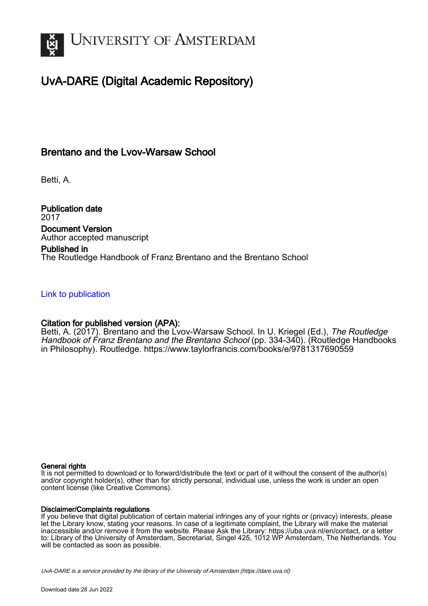

# UvA-DARE (Digital Academic Repository)

# Brentano and the Lvov-Warsaw School

Betti, A.

Publication date 2017 Document Version Author accepted manuscript

# Published in The Routledge Handbook of Franz Brentano and the Brentano School

# [Link to publication](https://dare.uva.nl/personal/pure/en/publications/brentano-and-the-lvovwarsaw-school(40898c34-6357-4d3a-af7c-ed9eb3c6aedc).html)

# Citation for published version (APA):

Betti, A. (2017). Brentano and the Lvov-Warsaw School. In U. Kriegel (Ed.), The Routledge Handbook of Franz Brentano and the Brentano School (pp. 334-340). (Routledge Handbooks in Philosophy). Routledge.<https://www.taylorfrancis.com/books/e/9781317690559>

#### General rights

It is not permitted to download or to forward/distribute the text or part of it without the consent of the author(s) and/or copyright holder(s), other than for strictly personal, individual use, unless the work is under an open content license (like Creative Commons).

#### Disclaimer/Complaints regulations

If you believe that digital publication of certain material infringes any of your rights or (privacy) interests, please let the Library know, stating your reasons. In case of a legitimate complaint, the Library will make the material inaccessible and/or remove it from the website. Please Ask the Library: https://uba.uva.nl/en/contact, or a letter to: Library of the University of Amsterdam, Secretariat, Singel 425, 1012 WP Amsterdam, The Netherlands. You will be contacted as soon as possible.

UvA-DARE is a service provided by the library of the University of Amsterdam (http*s*://dare.uva.nl)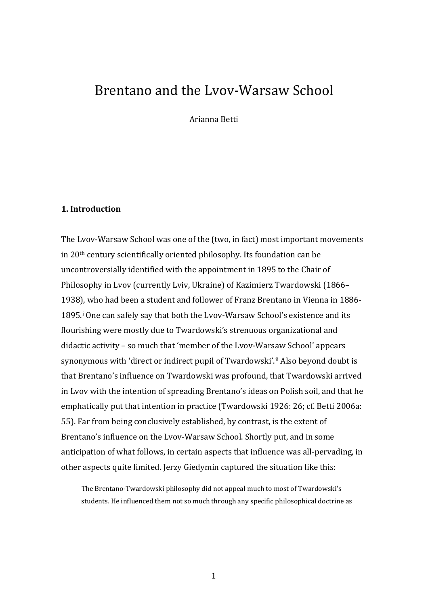# Brentano and the Lvov-Warsaw School

Arianna Betti

### **1. Introduction**

The Lvov-Warsaw School was one of the (two, in fact) most important movements in 20th century scientifically oriented philosophy. Its foundation can be uncontroversially identified with the appointment in 1895 to the Chair of Philosophy in Lvov (currently Lviv, Ukraine) of Kazimierz Twardowski (1866– 1938[\),](#page-15-0) who had been a student and follower of Franz Brentano in Vienna in 1886- 1895.i One can safely say that both the Lvov-Warsaw School's existence and its flourishing were mostly due to Twardowski's strenuous organizational and didactic activity – so much that 'member of the Lvov-Warsaw School' appears synonymous with 'direct or indirect pupil of Twardowski'.<sup>[ii](#page-15-1)</sup> Also beyond doubt is that Brentano's influence on Twardowski was profound, that Twardowski arrived in Lvov with the intention of spreading Brentano's ideas on Polish soil, and that he emphatically put that intention in practice (Twardowski 1926: 26; cf. Betti 2006a: 55). Far from being conclusively established, by contrast, is the extent of Brentano's influence on the Lvov-Warsaw School. Shortly put, and in some anticipation of what follows, in certain aspects that influence was all-pervading, in other aspects quite limited. Jerzy Giedymin captured the situation like this:

The Brentano-Twardowski philosophy did not appeal much to most of Twardowski's students. He influenced them not so much through any specific philosophical doctrine as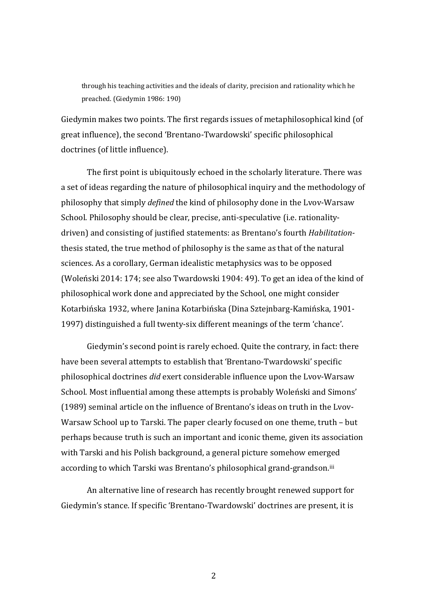through his teaching activities and the ideals of clarity, precision and rationality which he preached. (Giedymin 1986: 190)

Giedymin makes two points. The first regards issues of metaphilosophical kind (of great influence), the second 'Brentano-Twardowski' specific philosophical doctrines (of little influence).

The first point is ubiquitously echoed in the scholarly literature. There was a set of ideas regarding the nature of philosophical inquiry and the methodology of philosophy that simply *defined* the kind of philosophy done in the Lvov-Warsaw School. Philosophy should be clear, precise, anti-speculative (i.e. rationalitydriven) and consisting of justified statements: as Brentano's fourth *Habilitation*thesis stated, the true method of philosophy is the same as that of the natural sciences. As a corollary, German idealistic metaphysics was to be opposed (Woleński 2014: 174; see also Twardowski 1904: 49). To get an idea of the kind of philosophical work done and appreciated by the School, one might consider Kotarbińska 1932, where Janina Kotarbińska (Dina Sztejnbarg-Kamińska, 1901- 1997) distinguished a full twenty-six different meanings of the term 'chance'.

Giedymin's second point is rarely echoed. Quite the contrary, in fact: there have been several attempts to establish that 'Brentano-Twardowski' specific philosophical doctrines *did* exert considerable influence upon the Lvov-Warsaw School. Most influential among these attempts is probably Woleński and Simons' (1989) seminal article on the influence of Brentano's ideas on truth in the Lvov-Warsaw School up to Tarski. The paper clearly focused on one theme, truth – but perhaps because truth is such an important and iconic theme, given its association with Tarski and his Polish background, a general picture somehow emerged according to which Tarski was Brentano's philosophical grand-grandson.<sup>[iii](#page-15-2)</sup>

An alternative line of research has recently brought renewed support for Giedymin's stance. If specific 'Brentano-Twardowski' doctrines are present, it is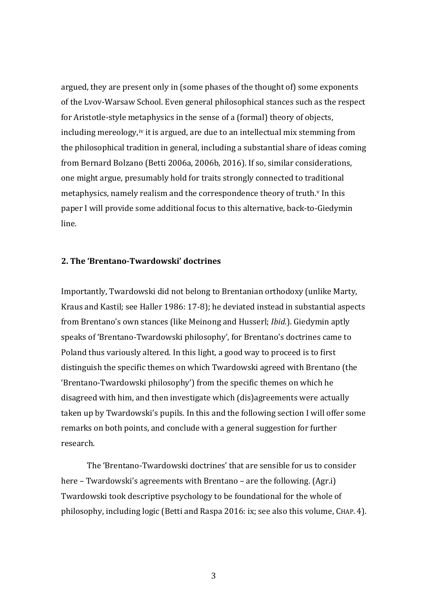argued, they are present only in (some phases of the thought of) some exponents of the Lvov-Warsaw School. Even general philosophical stances such as the respect for Aristotle-style m[eta](#page-16-0)physics in the sense of a (formal) theory of objects, including mereology,<sup>iv</sup> it is argued, are due to an intellectual mix stemming from the philosophical tradition in general, including a substantial share of ideas coming from Bernard Bolzano (Betti 2006a, 2006b, 2016). If so, similar considerations, one might argue, presumably hold for traits strongly connected to tra[d](#page-16-1)itional metaphysics, namely realism and the correspondence theory of truth.<sup>v</sup> In this paper I will provide some additional focus to this alternative, back-to-Giedymin line.

## **2. The 'Brentano-Twardowski' doctrines**

Importantly, Twardowski did not belong to Brentanian orthodoxy (unlike Marty, Kraus and Kastil; see Haller 1986: 17-8); he deviated instead in substantial aspects from Brentano's own stances (like Meinong and Husserl; *Ibid.*). Giedymin aptly speaks of 'Brentano-Twardowski philosophy', for Brentano's doctrines came to Poland thus variously altered. In this light, a good way to proceed is to first distinguish the specific themes on which Twardowski agreed with Brentano (the 'Brentano-Twardowski philosophy') from the specific themes on which he disagreed with him, and then investigate which (dis)agreements were actually taken up by Twardowski's pupils. In this and the following section I will offer some remarks on both points, and conclude with a general suggestion for further research.

The 'Brentano-Twardowski doctrines' that are sensible for us to consider here – Twardowski's agreements with Brentano – are the following. (Agr.i) Twardowski took descriptive psychology to be foundational for the whole of philosophy, including logic (Betti and Raspa 2016: ix; see also this volume, CHAP. 4).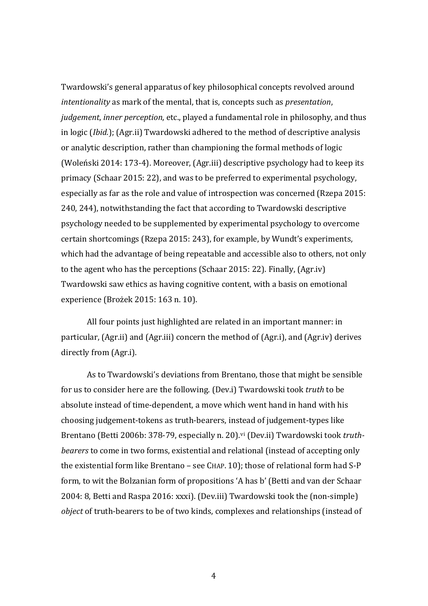Twardowski's general apparatus of key philosophical concepts revolved around *intentionality* as mark of the mental, that is, concepts such as *presentation*, *judgement*, *inner perception*, etc., played a fundamental role in philosophy, and thus in logic (*Ibid.*); (Agr.ii) Twardowski adhered to the method of descriptive analysis or analytic description, rather than championing the formal methods of logic (Woleński 2014: 173-4). Moreover, (Agr.iii) descriptive psychology had to keep its primacy (Schaar 2015: 22), and was to be preferred to experimental psychology, especially as far as the role and value of introspection was concerned (Rzepa 2015: 240, 244), notwithstanding the fact that according to Twardowski descriptive psychology needed to be supplemented by experimental psychology to overcome certain shortcomings (Rzepa 2015: 243), for example, by Wundt's experiments, which had the advantage of being repeatable and accessible also to others, not only to the agent who has the perceptions (Schaar 2015: 22). Finally, (Agr.iv) Twardowski saw ethics as having cognitive content, with a basis on emotional experience (Brożek 2015: 163 n. 10).

All four points just highlighted are related in an important manner: in particular, (Agr.ii) and (Agr.iii) concern the method of (Agr.i), and (Agr.iv) derives directly from (Agr.i).

As to Twardowski's deviations from Brentano, those that might be sensible for us to consider here are the following. (Dev.i) Twardowski took *truth* to be absolute instead of time-dependent, a move which went hand in hand with his choosing judgement-tokens as truth-bearers, instead of judgement-types like Brentano (Betti 2006b: 378-79, especially n. 20).<sup>[vi](#page-16-2)</sup> (Dev.ii) Twardowski took *truthbearers* to come in two forms, existential and relational (instead of accepting only the existential form like Brentano – see CHAP. 10); those of relational form had S-P form, to wit the Bolzanian form of propositions 'A has b' (Betti and van der Schaar 2004: 8, Betti and Raspa 2016: xxxi). (Dev.iii) Twardowski took the (non-simple) *object* of truth-bearers to be of two kinds, complexes and relationships (instead of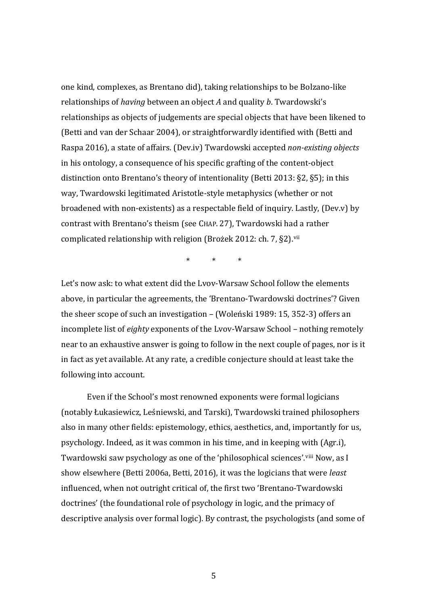one kind, complexes, as Brentano did), taking relationships to be Bolzano-like relationships of *having* between an object *A* and quality *b*. Twardowski's relationships as objects of judgements are special objects that have been likened to (Betti and van der Schaar 2004), or straightforwardly identified with (Betti and Raspa 2016), a state of affairs. (Dev.iv) Twardowski accepted *non-existing objects* in his ontology, a consequence of his specific grafting of the content-object distinction onto Brentano's theory of intentionality (Betti 2013: §2, §5); in this way, Twardowski legitimated Aristotle-style metaphysics (whether or not broadened with non-existents) as a respectable field of inquiry. Lastly, (Dev.v) by contrast with Brentano's theism (see CHAP. 27), Twardowski had a rather complicated relationship with religion (Brożek 2012: ch. 7, §2).<sup>[vii](#page-16-3)</sup>

\* \* \*

Let's now ask: to what extent did the Lvov-Warsaw School follow the elements above, in particular the agreements, the 'Brentano-Twardowski doctrines'? Given the sheer scope of such an investigation – (Woleński 1989: 15, 352-3) offers an incomplete list of *eighty* exponents of the Lvov-Warsaw School – nothing remotely near to an exhaustive answer is going to follow in the next couple of pages, nor is it in fact as yet available. At any rate, a credible conjecture should at least take the following into account.

Even if the School's most renowned exponents were formal logicians (notably Łukasiewicz, Leśniewski, and Tarski), Twardowski trained philosophers also in many other fields: epistemology, ethics, aesthetics, and, importantly for us, psychology. Indeed, as it was common in his time, and in keeping with (Agr.i), Twardowski saw psychology as one of the 'philosophical sciences'.[viii](#page-16-4) Now, as I show elsewhere (Betti 2006a, Betti, 2016), it was the logicians that were *least* influenced, when not outright critical of, the first two 'Brentano-Twardowski doctrines' (the foundational role of psychology in logic, and the primacy of descriptive analysis over formal logic). By contrast, the psychologists (and some of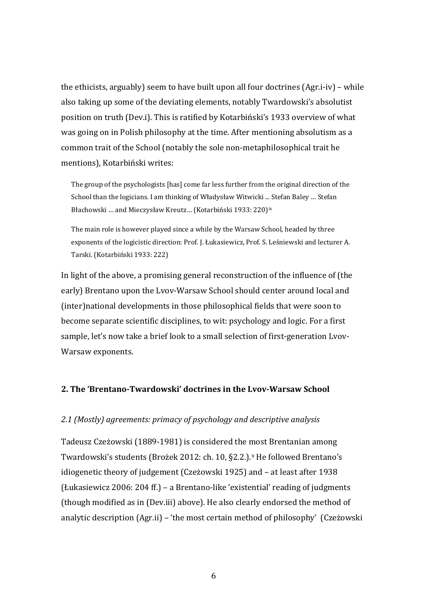the ethicists, arguably) seem to have built upon all four doctrines (Agr.i-iv) – while also taking up some of the deviating elements, notably Twardowski's absolutist position on truth (Dev.i). This is ratified by Kotarbiński's 1933 overview of what was going on in Polish philosophy at the time. After mentioning absolutism as a common trait of the School (notably the sole non-metaphilosophical trait he mentions), Kotarbiński writes:

The group of the psychologists [has] come far less further from the original direction of the School than the logicians. I am thinking of Władysław Witwicki ... Stefan Baley … Stefan Błachowski ... and Mieczysław Kreutz... (Kotarbiński 1933: 220)<sup>[ix](#page-16-5)</sup>

The main role is however played since a while by the Warsaw School, headed by three exponents of the logicistic direction: Prof. J. Łukasiewicz, Prof. S. Leśniewski and lecturer A. Tarski. (Kotarbiński 1933: 222)

In light of the above, a promising general reconstruction of the influence of (the early) Brentano upon the Lvov-Warsaw School should center around local and (inter)national developments in those philosophical fields that were soon to become separate scientific disciplines, to wit: psychology and logic. For a first sample, let's now take a brief look to a small selection of first-generation Lvov-Warsaw exponents.

### **2. The 'Brentano-Twardowski' doctrines in the Lvov-Warsaw School**

#### *2.1 (Mostly) agreements: primacy of psychology and descriptive analysis*

Tadeusz Czeżowski (1889-1981) is considered the [m](#page-16-6)ost Brentanian among Twardowski's students (Brożek 2012: ch. 10, §2.2.).<sup>x</sup> He followed Brentano's idiogenetic theory of judgement (Czeżowski 1925) and – at least after 1938 (Łukasiewicz 2006: 204 ff.) – a Brentano-like 'existential' reading of judgments (though modified as in (Dev.iii) above). He also clearly endorsed the method of analytic description (Agr.ii) – 'the most certain method of philosophy' (Czeżowski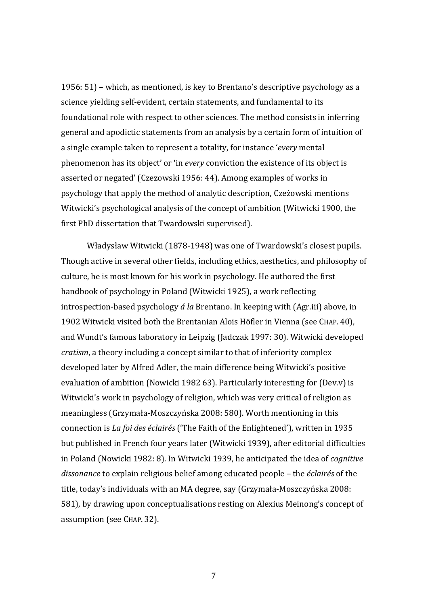1956: 51) – which, as mentioned, is key to Brentano's descriptive psychology as a science yielding self-evident, certain statements, and fundamental to its foundational role with respect to other sciences. The method consists in inferring general and apodictic statements from an analysis by a certain form of intuition of a single example taken to represent a totality, for instance '*every* mental phenomenon has its object' or 'in *every* conviction the existence of its object is asserted or negated' (Czezowski 1956: 44). Among examples of works in psychology that apply the method of analytic description, Czeżowski mentions Witwicki's psychological analysis of the concept of ambition (Witwicki 1900, the first PhD dissertation that Twardowski supervised).

Władysław Witwicki (1878-1948) was one of Twardowski's closest pupils. Though active in several other fields, including ethics, aesthetics, and philosophy of culture, he is most known for his work in psychology. He authored the first handbook of psychology in Poland (Witwicki 1925), a work reflecting introspection-based psychology *á la* Brentano. In keeping with (Agr.iii) above, in 1902 Witwicki visited both the Brentanian Alois Höfler in Vienna (see CHAP. 40), and Wundt's famous laboratory in Leipzig (Jadczak 1997: 30). Witwicki developed *cratism*, a theory including a concept similar to that of inferiority complex developed later by Alfred Adler, the main difference being Witwicki's positive evaluation of ambition (Nowicki 1982 63). Particularly interesting for (Dev.v) is Witwicki's work in psychology of religion, which was very critical of religion as meaningless (Grzymała-Moszczyńska 2008: 580). Worth mentioning in this connection is *La foi des éclairés* ('The Faith of the Enlightened'), written in 1935 but published in French four years later (Witwicki 1939), after editorial difficulties in Poland (Nowicki 1982: 8). In Witwicki 1939, he anticipated the idea of *cognitive dissonance* to explain religious belief among educated people – the *éclairés* of the title, today's individuals with an MA degree, say (Grzymała-Moszczyńska 2008: 581), by drawing upon conceptualisations resting on Alexius Meinong's concept of assumption (see CHAP. 32).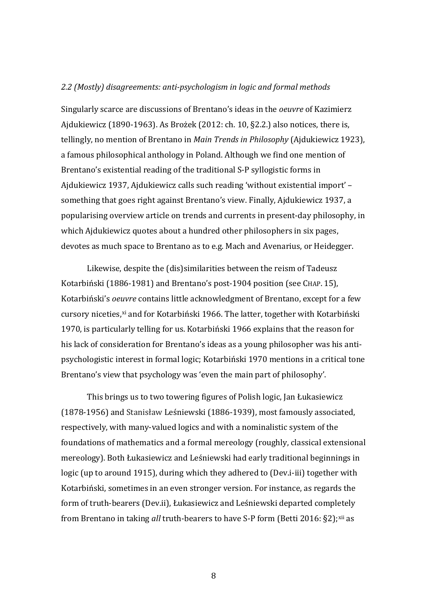#### *2.2 (Mostly) disagreements: anti-psychologism in logic and formal methods*

Singularly scarce are discussions of Brentano's ideas in the *oeuvre* of Kazimierz Ajdukiewicz (1890-1963). As Brożek (2012: ch. 10, §2.2.) also notices, there is, tellingly, no mention of Brentano in *Main Trends in Philosophy* (Ajdukiewicz 1923), a famous philosophical anthology in Poland. Although we find one mention of Brentano's existential reading of the traditional S-P syllogistic forms in Ajdukiewicz 1937, Ajdukiewicz calls such reading 'without existential import' – something that goes right against Brentano's view. Finally, Ajdukiewicz 1937, a popularising overview article on trends and currents in present-day philosophy, in which Ajdukiewicz quotes about a hundred other philosophers in six pages, devotes as much space to Brentano as to e.g. Mach and Avenarius, or Heidegger.

Likewise, despite the (dis)similarities between the reism of Tadeusz Kotarbiński (1886-1981) and Brentano's post-1904 position (see CHAP. 15), Kotarbiński's *oeuvre* contains little acknowledgment of Brentano, except for a few cursory niceties,<sup>[xi](#page-16-7)</sup> and for Kotarbiński 1966. The latter, together with Kotarbiński 1970, is particularly telling for us. Kotarbiński 1966 explains that the reason for his lack of consideration for Brentano's ideas as a young philosopher was his antipsychologistic interest in formal logic; Kotarbiński 1970 mentions in a critical tone Brentano's view that psychology was 'even the main part of philosophy'.

This brings us to two towering figures of Polish logic, Jan Łukasiewicz (1878-1956) and Stanisław Leśniewski (1886-1939), most famously associated, respectively, with many-valued logics and with a nominalistic system of the foundations of mathematics and a formal mereology (roughly, classical extensional mereology). Both Łukasiewicz and Leśniewski had early traditional beginnings in logic (up to around 1915), during which they adhered to (Dev.i-iii) together with Kotarbiński, sometimes in an even stronger version. For instance, as regards the form of truth-bearers (Dev.ii), Łukasiewicz and Leśniewski departed completely from Brentano in taking *all* truth-bearers to have S-P form (Betti 2016: §2);<sup>[xii](#page-16-8)</sup> as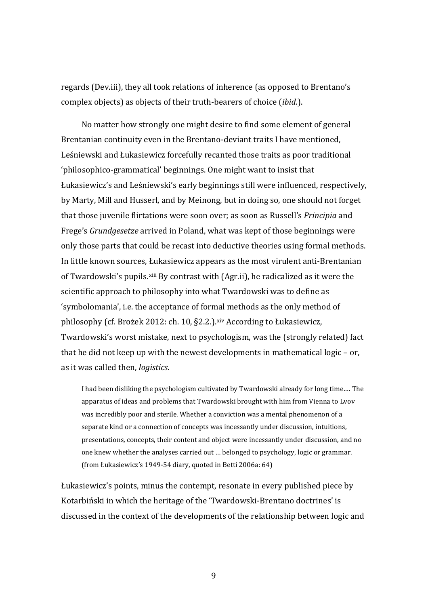regards (Dev.iii), they all took relations of inherence (as opposed to Brentano's complex objects) as objects of their truth-bearers of choice (*ibid.*).

No matter how strongly one might desire to find some element of general Brentanian continuity even in the Brentano-deviant traits I have mentioned, Leśniewski and Łukasiewicz forcefully recanted those traits as poor traditional 'philosophico-grammatical' beginnings. One might want to insist that Łukasiewicz's and Leśniewski's early beginnings still were influenced, respectively, by Marty, Mill and Husserl, and by Meinong, but in doing so, one should not forget that those juvenile flirtations were soon over; as soon as Russell's *Principia* and Frege's *Grundgesetze* arrived in Poland, what was kept of those beginnings were only those parts that could be recast into deductive theories using formal methods. In little known sources, Łukasiewicz appears as the most virulent anti-Brentanian of Twardowski's pupils.<sup>[xiii](#page-16-9)</sup> By contrast with (Agr.ii), he radicalized as it were the scientific approach to philosophy into what Twardowski was to define as 'symbolomania', i.e. the acceptance of formal methods as the only method of philosophy (cf. Brożek 2012: ch. 10, §2.2.).<sup>[xiv](#page-16-10)</sup> According to Łukasiewicz, Twardowski's worst mistake, next to psychologism, was the (strongly related) fact that he did not keep up with the newest developments in mathematical logic – or, as it was called then, *logistics*.

I had been disliking the psychologism cultivated by Twardowski already for long time.… The apparatus of ideas and problems that Twardowski brought with him from Vienna to Lvov was incredibly poor and sterile. Whether a conviction was a mental phenomenon of a separate kind or a connection of concepts was incessantly under discussion, intuitions, presentations, concepts, their content and object were incessantly under discussion, and no one knew whether the analyses carried out … belonged to psychology, logic or grammar. (from Łukasiewicz's 1949-54 diary, quoted in Betti 2006a: 64)

Łukasiewicz's points, minus the contempt, resonate in every published piece by Kotarbiński in which the heritage of the 'Twardowski-Brentano doctrines' is discussed in the context of the developments of the relationship between logic and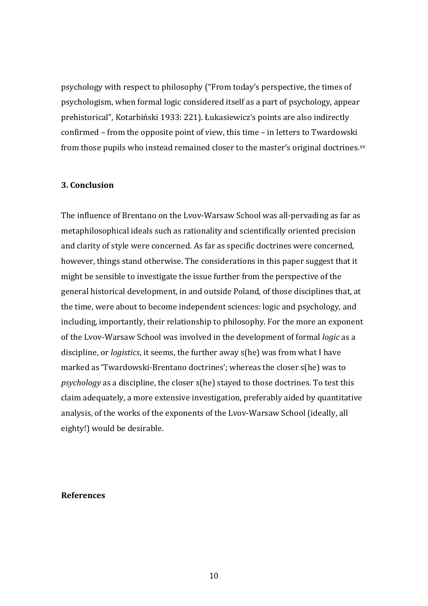psychology with respect to philosophy ("From today's perspective, the times of psychologism, when formal logic considered itself as a part of psychology, appear prehistorical", Kotarbiński 1933: 221). Łukasiewicz's points are also indirectly confirmed – from the opposite point of view, this time – in letters to Twardowski from those pupils who instead remained closer to the master's original doctrines.<sup>[xv](#page-16-11)</sup>

### **3. Conclusion**

The influence of Brentano on the Lvov-Warsaw School was all-pervading as far as metaphilosophical ideals such as rationality and scientifically oriented precision and clarity of style were concerned. As far as specific doctrines were concerned, however, things stand otherwise. The considerations in this paper suggest that it might be sensible to investigate the issue further from the perspective of the general historical development, in and outside Poland, of those disciplines that, at the time, were about to become independent sciences: logic and psychology, and including, importantly, their relationship to philosophy. For the more an exponent of the Lvov-Warsaw School was involved in the development of formal *logic* as a discipline, or *logistics*, it seems, the further away s(he) was from what I have marked as 'Twardowski-Brentano doctrines'; whereas the closer s(he) was to *psychology* as a discipline, the closer s(he) stayed to those doctrines. To test this claim adequately, a more extensive investigation, preferably aided by quantitative analysis, of the works of the exponents of the Lvov-Warsaw School (ideally, all eighty!) would be desirable.

#### **References**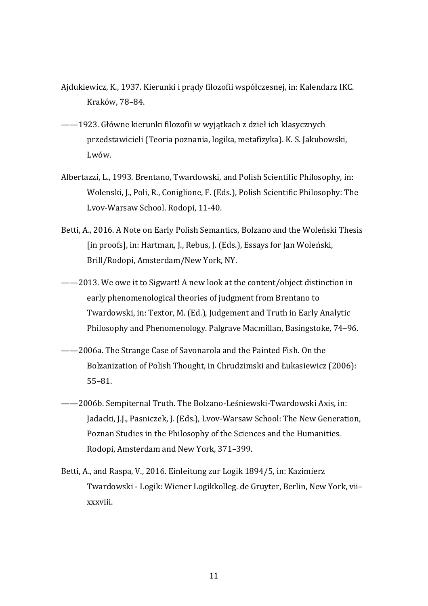- Ajdukiewicz, K., 1937. Kierunki i prądy filozofii współczesnej, in: Kalendarz IKC. Kraków, 78–84.
- ——1923. Główne kierunki filozofii w wyjątkach z dzieł ich klasycznych przedstawicieli (Teoria poznania, logika, metafizyka). K. S. Jakubowski, Lwów.
- Albertazzi, L., 1993. Brentano, Twardowski, and Polish Scientific Philosophy, in: Wolenski, J., Poli, R., Coniglione, F. (Eds.), Polish Scientific Philosophy: The Lvov-Warsaw School. Rodopi, 11-40.
- Betti, A., 2016. A Note on Early Polish Semantics, Bolzano and the Woleński Thesis [in proofs], in: Hartman, J., Rebus, J. (Eds.), Essays for Jan Woleński, Brill/Rodopi, Amsterdam/New York, NY.
- ——2013. We owe it to Sigwart! A new look at the content/object distinction in early phenomenological theories of judgment from Brentano to Twardowski, in: Textor, M. (Ed.), Judgement and Truth in Early Analytic Philosophy and Phenomenology. Palgrave Macmillan, Basingstoke, 74–96.
- ——2006a. The Strange Case of Savonarola and the Painted Fish. On the Bolzanization of Polish Thought, in Chrudzimski and Łukasiewicz (2006): 55–81.
- ——2006b. Sempiternal Truth. The Bolzano-Leśniewski-Twardowski Axis, in: Jadacki, J.J., Pasniczek, J. (Eds.), Lvov-Warsaw School: The New Generation, Poznan Studies in the Philosophy of the Sciences and the Humanities. Rodopi, Amsterdam and New York, 371–399.
- Betti, A., and Raspa, V., 2016. Einleitung zur Logik 1894/5, in: Kazimierz Twardowski - Logik: Wiener Logikkolleg. de Gruyter, Berlin, New York, vii– xxxviii.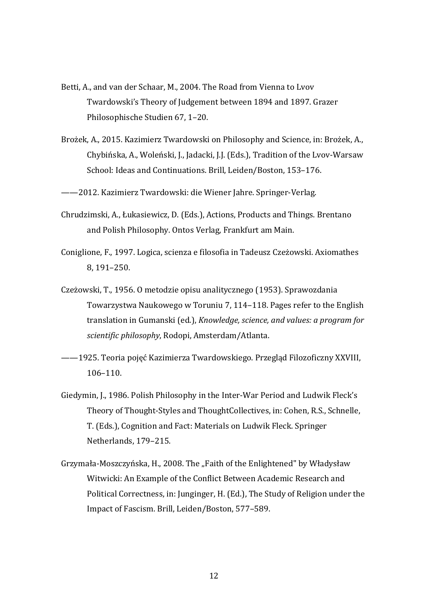- Betti, A., and van der Schaar, M., 2004. The Road from Vienna to Lvov Twardowski's Theory of Judgement between 1894 and 1897. Grazer Philosophische Studien 67, 1–20.
- Brożek, A., 2015. Kazimierz Twardowski on Philosophy and Science, in: Brożek, A., Chybińska, A., Woleński, J., Jadacki, J.J. (Eds.), Tradition of the Lvov-Warsaw School: Ideas and Continuations. Brill, Leiden/Boston, 153–176.

——2012. Kazimierz Twardowski: die Wiener Jahre. Springer-Verlag.

- Chrudzimski, A., Łukasiewicz, D. (Eds.), Actions, Products and Things. Brentano and Polish Philosophy. Ontos Verlag, Frankfurt am Main.
- Coniglione, F., 1997. Logica, scienza e filosofia in Tadeusz Czeżowski. Axiomathes 8, 191–250.
- Czeżowski, T., 1956. O metodzie opisu analitycznego (1953). Sprawozdania Towarzystwa Naukowego w Toruniu 7, 114–118. Pages refer to the English translation in Gumanski (ed.), *Knowledge, science, and values: a program for scientific philosophy*, Rodopi, Amsterdam/Atlanta.
- ——1925. Teoria pojęć Kazimierza Twardowskiego. Przegląd Filozoficzny XXVIII, 106–110.
- Giedymin, J., 1986. Polish Philosophy in the Inter-War Period and Ludwik Fleck's Theory of Thought-Styles and ThoughtCollectives, in: Cohen, R.S., Schnelle, T. (Eds.), Cognition and Fact: Materials on Ludwik Fleck. Springer Netherlands, 179–215.
- Grzymała-Moszczyńska, H., 2008. The "Faith of the Enlightened" by Władysław Witwicki: An Example of the Conflict Between Academic Research and Political Correctness, in: Junginger, H. (Ed.), The Study of Religion under the Impact of Fascism. Brill, Leiden/Boston, 577–589.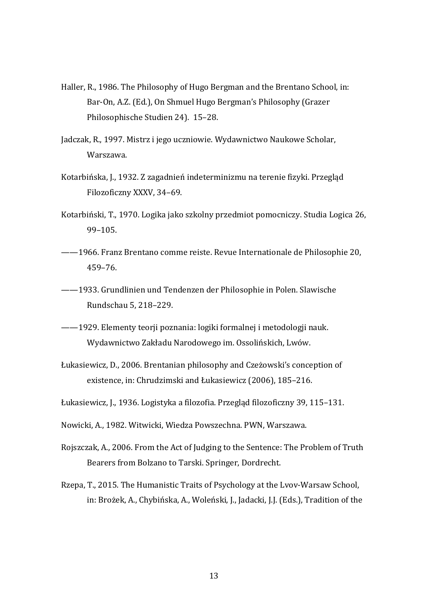- Haller, R., 1986. The Philosophy of Hugo Bergman and the Brentano School, in: Bar-On, A.Z. (Ed.), On Shmuel Hugo Bergman's Philosophy (Grazer Philosophische Studien 24). 15–28.
- Jadczak, R., 1997. Mistrz i jego uczniowie. Wydawnictwo Naukowe Scholar, Warszawa.
- Kotarbińska, J., 1932. Z zagadnień indeterminizmu na terenie fizyki. Przegląd Filozoficzny XXXV, 34–69.
- Kotarbiński, T., 1970. Logika jako szkolny przedmiot pomocniczy. Studia Logica 26, 99–105.
- ——1966. Franz Brentano comme reiste. Revue Internationale de Philosophie 20, 459–76.
- ——1933. Grundlinien und Tendenzen der Philosophie in Polen. Slawische Rundschau 5, 218–229.
- ——1929. Elementy teorji poznania: logiki formalnej i metodologji nauk. Wydawnictwo Zakładu Narodowego im. Ossolińskich, Lwów.
- Łukasiewicz, D., 2006. Brentanian philosophy and Czeżowski's conception of existence, in: Chrudzimski and Łukasiewicz (2006), 185–216.
- Łukasiewicz, J., 1936. Logistyka a filozofia. Przegląd filozoficzny 39, 115–131.
- Nowicki, A., 1982. Witwicki, Wiedza Powszechna. PWN, Warszawa.
- Rojszczak, A., 2006. From the Act of Judging to the Sentence: The Problem of Truth Bearers from Bolzano to Tarski. Springer, Dordrecht.
- Rzepa, T., 2015. The Humanistic Traits of Psychology at the Lvov-Warsaw School, in: Brożek, A., Chybińska, A., Woleński, J., Jadacki, J.J. (Eds.), Tradition of the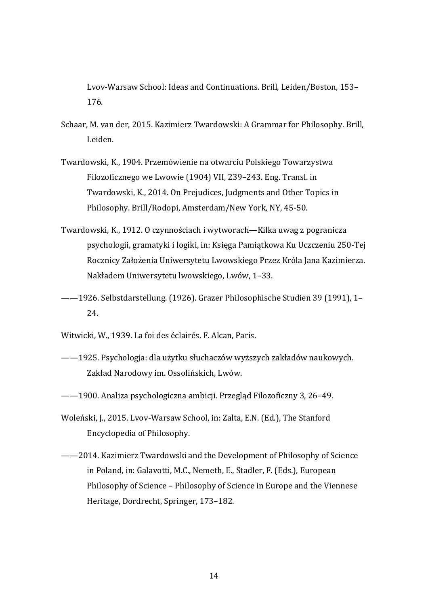Lvov-Warsaw School: Ideas and Continuations. Brill, Leiden/Boston, 153– 176.

- Schaar, M. van der, 2015. Kazimierz Twardowski: A Grammar for Philosophy. Brill, Leiden.
- Twardowski, K., 1904. Przemówienie na otwarciu Polskiego Towarzystwa Filozoficznego we Lwowie (1904) VII, 239–243. Eng. Transl. in Twardowski, K., 2014. On Prejudices, Judgments and Other Topics in Philosophy. Brill/Rodopi, Amsterdam/New York, NY, 45-50.
- Twardowski, K., 1912. O czynnościach i wytworach—Kilka uwag z pogranicza psychologii, gramatyki i logiki, in: Księga Pamiątkowa Ku Uczczeniu 250-Tej Rocznicy Założenia Uniwersytetu Lwowskiego Przez Króla Jana Kazimierza. Nakładem Uniwersytetu lwowskiego, Lwów, 1–33.
- ——1926. Selbstdarstellung. (1926). Grazer Philosophische Studien 39 (1991), 1– 24.
- Witwicki, W., 1939. La foi des éclairés. F. Alcan, Paris.
- ——1925. Psychologja: dla użytku słuchaczów wyższych zakładów naukowych. Zakład Narodowy im. Ossolińskich, Lwów.
- ——1900. Analiza psychologiczna ambicji. Przegląd Filozoficzny 3, 26–49.
- Woleński, J., 2015. Lvov-Warsaw School, in: Zalta, E.N. (Ed.), The Stanford Encyclopedia of Philosophy.
- ——2014. Kazimierz Twardowski and the Development of Philosophy of Science in Poland, in: Galavotti, M.C., Nemeth, E., Stadler, F. (Eds.), European Philosophy of Science – Philosophy of Science in Europe and the Viennese Heritage, Dordrecht, Springer, 173–182.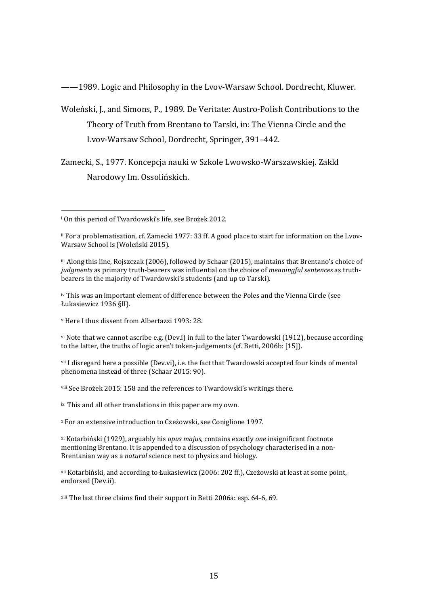——1989. Logic and Philosophy in the Lvov-Warsaw School. Dordrecht, Kluwer.

Woleński, J., and Simons, P., 1989. De Veritate: Austro-Polish Contributions to the Theory of Truth from Brentano to Tarski, in: The Vienna Circle and the Lvov-Warsaw School, Dordrecht, Springer, 391–442.

Zamecki, S., 1977. Koncepcja nauki w Szkole Lwowsko-Warszawskiej. Zakld Narodowy Im. Ossolińskich.

iv This was an important element of difference between the Poles and the Vienna Circle (see Łukasiewicz 1936 §II).

<sup>v</sup> Here I thus dissent from Albertazzi 1993: 28.

vi Note that we cannot ascribe e.g. (Dev.i) in full to the later Twardowski (1912), because according to the latter, the truths of logic aren't token-judgements (cf. Betti, 2006b: [15]).

vii I disregard here a possible (Dev.vi), i.e. the fact that Twardowski accepted four kinds of mental phenomena instead of three (Schaar 2015: 90).

viii See Brożek 2015: 158 and the references to Twardowski's writings there.

ix This and all other translations in this paper are my own.

<sup>x</sup> For an extensive introduction to Czeżowski, see Coniglione 1997.

xi Kotarbiński (1929), arguably his *opus majus,* contains exactly *one* insignificant footnote mentioning Brentano. It is appended to a discussion of psychology characterised in a non-Brentanian way as a *natural* science next to physics and biology.

xii Kotarbiński, and according to Łukasiewicz (2006: 202 ff.), Czeżowski at least at some point, endorsed (Dev.ii).

xiii The last three claims find their support in Betti 2006a: esp. 64-6, 69.

<span id="page-15-0"></span>i On this period of Twardowski's life, see Brożek 2012.

<span id="page-15-1"></span>ii For a problematisation, cf. Zamecki 1977: 33 ff. A good place to start for information on the Lvov-Warsaw School is (Woleński 2015).

<span id="page-15-2"></span>iii Along this line, Rojszczak (2006), followed by Schaar (2015), maintains that Brentano's choice of *judgments* as primary truth-bearers was influential on the choice of *meaningful sentences* as truthbearers in the majority of Twardowski's students (and up to Tarski).